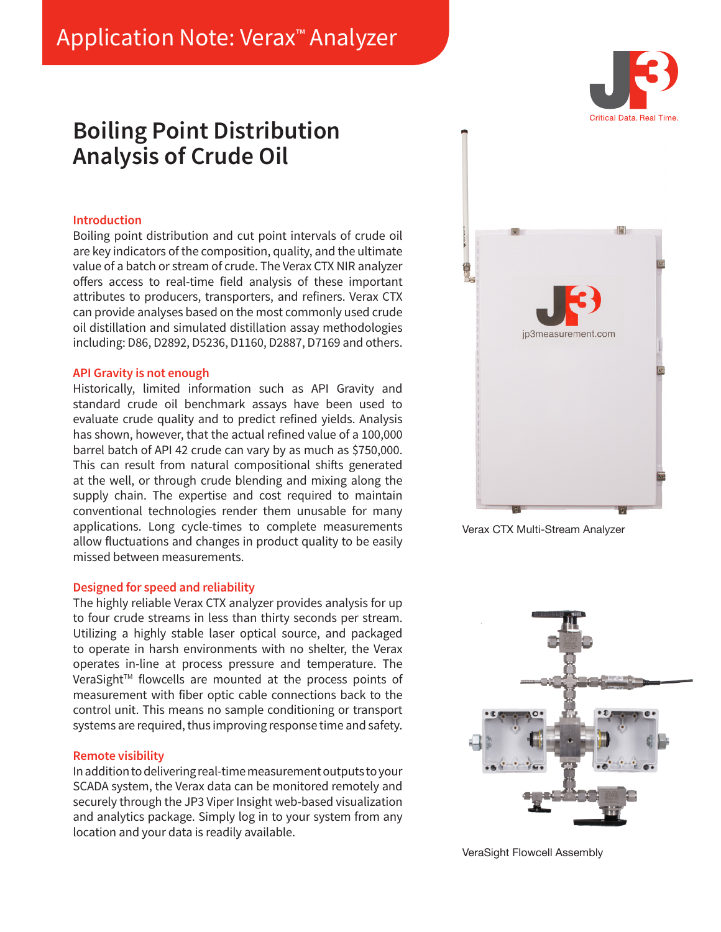# Application Note: Verax™ Analyzer

## **Boiling Point Distribution Analysis of Crude Oil**

#### **Introduction**

Boiling point distribution and cut point intervals of crude oil are key indicators of the composition, quality, and the ultimate value of a batch or stream of crude. The Verax CTX NIR analyzer offers access to real-time field analysis of these important attributes to producers, transporters, and refiners. Verax CTX can provide analyses based on the most commonly used crude oil distillation and simulated distillation assay methodologies including: D86, D2892, D5236, D1160, D2887, D7169 and others.

#### **API Gravity is not enough**

Historically, limited information such as API Gravity and standard crude oil benchmark assays have been used to evaluate crude quality and to predict refined yields. Analysis has shown, however, that the actual refined value of a 100,000 barrel batch of API 42 crude can vary by as much as \$750,000. This can result from natural compositional shifts generated at the well, or through crude blending and mixing along the supply chain. The expertise and cost required to maintain conventional technologies render them unusable for many applications. Long cycle-times to complete measurements allow fluctuations and changes in product quality to be easily missed between measurements.

#### **Designed for speed and reliability**

The highly reliable Verax CTX analyzer provides analysis for up to four crude streams in less than thirty seconds per stream. Utilizing a highly stable laser optical source, and packaged to operate in harsh environments with no shelter, the Verax operates in-line at process pressure and temperature. The VeraSight™ flowcells are mounted at the process points of measurement with fiber optic cable connections back to the control unit. This means no sample conditioning or transport systems are required, thus improving response time and safety.

### **Remote visibility**

In addition to delivering real-time measurement outputs to your SCADA system, the Verax data can be monitored remotely and securely through the JP3 Viper Insight web-based visualization and analytics package. Simply log in to your system from any location and your data is readily available.



Verax CTX Multi-Stream Analyzer



VeraSight Flowcell Assembly